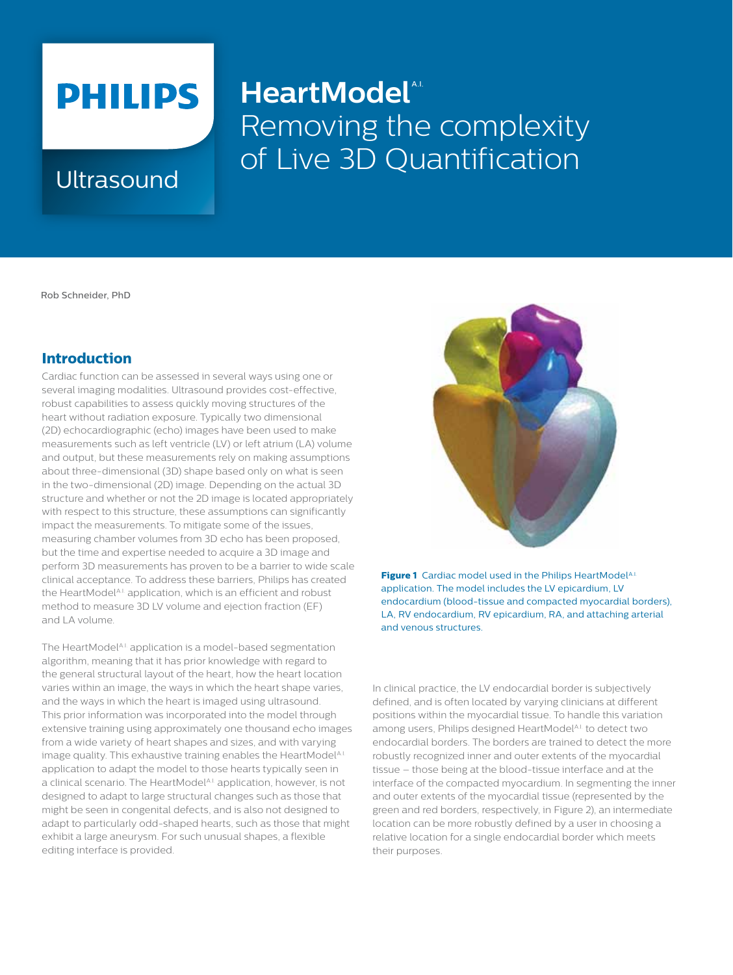# **PHILIPS**

## **HeartModel**<sup>\*</sup> Removing the complexity Ultrasound of Live 3D Quantification

Rob Schneider, PhD

### **Introduction**

Cardiac function can be assessed in several ways using one or several imaging modalities. Ultrasound provides cost-effective, robust capabilities to assess quickly moving structures of the heart without radiation exposure. Typically two dimensional (2D) echocardiographic (echo) images have been used to make measurements such as left ventricle (LV) or left atrium (LA) volume and output, but these measurements rely on making assumptions about three-dimensional (3D) shape based only on what is seen in the two-dimensional (2D) image. Depending on the actual 3D structure and whether or not the 2D image is located appropriately with respect to this structure, these assumptions can significantly impact the measurements. To mitigate some of the issues, measuring chamber volumes from 3D echo has been proposed, but the time and expertise needed to acquire a 3D image and perform 3D measurements has proven to be a barrier to wide scale clinical acceptance. To address these barriers, Philips has created the HeartModel<sup>A.I.</sup> application, which is an efficient and robust method to measure 3D LV volume and ejection fraction (EF) and LA volume.

The HeartModel<sup>A.I.</sup> application is a model-based segmentation algorithm, meaning that it has prior knowledge with regard to the general structural layout of the heart, how the heart location varies within an image, the ways in which the heart shape varies, and the ways in which the heart is imaged using ultrasound. This prior information was incorporated into the model through extensive training using approximately one thousand echo images from a wide variety of heart shapes and sizes, and with varying image quality. This exhaustive training enables the HeartModelA.I. application to adapt the model to those hearts typically seen in a clinical scenario. The HeartModel<sup>A.I.</sup> application, however, is not designed to adapt to large structural changes such as those that might be seen in congenital defects, and is also not designed to adapt to particularly odd-shaped hearts, such as those that might exhibit a large aneurysm. For such unusual shapes, a flexible editing interface is provided.



**Figure 1** Cardiac model used in the Philips HeartModelA.I. application. The model includes the LV epicardium, LV endocardium (blood-tissue and compacted myocardial borders), LA, RV endocardium, RV epicardium, RA, and attaching arterial and venous structures.

In clinical practice, the LV endocardial border is subjectively defined, and is often located by varying clinicians at different positions within the myocardial tissue. To handle this variation among users, Philips designed HeartModel<sup>A.I.</sup> to detect two endocardial borders. The borders are trained to detect the more robustly recognized inner and outer extents of the myocardial tissue – those being at the blood-tissue interface and at the interface of the compacted myocardium. In segmenting the inner and outer extents of the myocardial tissue (represented by the green and red borders, respectively, in Figure 2), an intermediate location can be more robustly defined by a user in choosing a relative location for a single endocardial border which meets their purposes.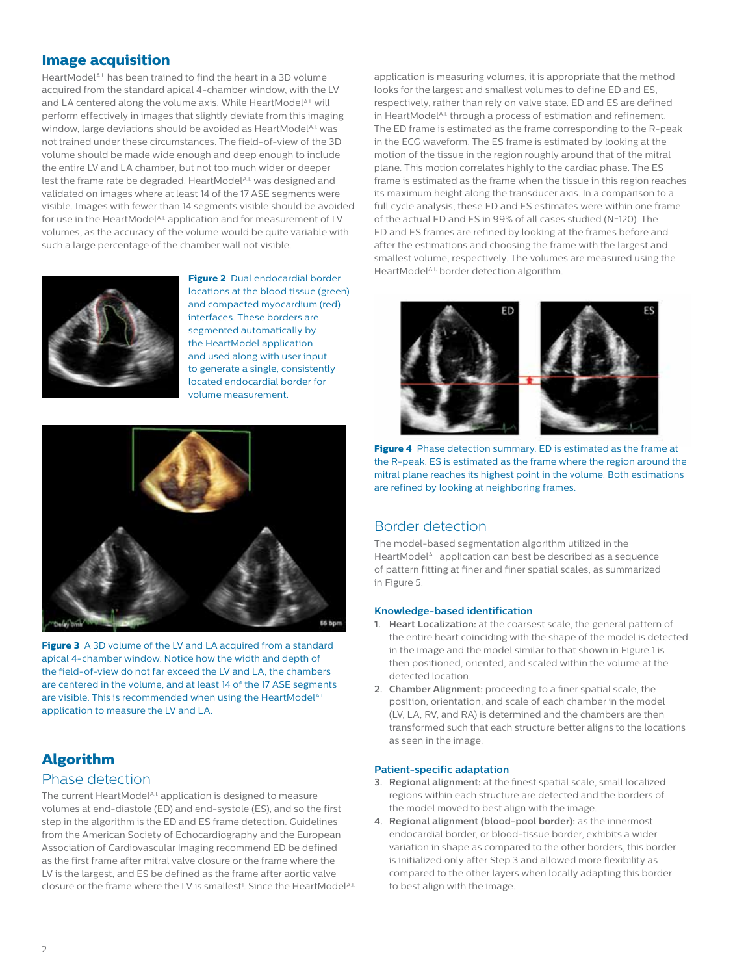#### **Image acquisition**

HeartModel<sup>A.I.</sup> has been trained to find the heart in a 3D volume acquired from the standard apical 4-chamber window, with the LV and LA centered along the volume axis. While HeartModelA.I. will perform effectively in images that slightly deviate from this imaging window, large deviations should be avoided as HeartModelA.I. was not trained under these circumstances. The field-of-view of the 3D volume should be made wide enough and deep enough to include the entire LV and LA chamber, but not too much wider or deeper lest the frame rate be degraded. HeartModel<sup>A.I.</sup> was designed and validated on images where at least 14 of the 17 ASE segments were visible. Images with fewer than 14 segments visible should be avoided for use in the HeartModelA.I. application and for measurement of LV volumes, as the accuracy of the volume would be quite variable with such a large percentage of the chamber wall not visible.



**Figure 2** Dual endocardial border locations at the blood tissue (green) and compacted myocardium (red) interfaces. These borders are segmented automatically by the HeartModel application and used along with user input to generate a single, consistently located endocardial border for volume measurement.



**Figure 3** A 3D volume of the LV and LA acquired from a standard apical 4-chamber window. Notice how the width and depth of the field-of-view do not far exceed the LV and LA, the chambers are centered in the volume, and at least 14 of the 17 ASE segments are visible. This is recommended when using the HeartModelA.I. application to measure the LV and LA.

### **Algorithm**

### Phase detection

The current HeartModelA.I. application is designed to measure volumes at end-diastole (ED) and end-systole (ES), and so the first step in the algorithm is the ED and ES frame detection. Guidelines from the American Society of Echocardiography and the European Association of Cardiovascular Imaging recommend ED be defined as the first frame after mitral valve closure or the frame where the LV is the largest, and ES be defined as the frame after aortic valve closure or the frame where the LV is smallest<sup>1</sup>. Since the HeartModelA.I. application is measuring volumes, it is appropriate that the method looks for the largest and smallest volumes to define ED and ES, respectively, rather than rely on valve state. ED and ES are defined in HeartModelA.I. through a process of estimation and refinement. The ED frame is estimated as the frame corresponding to the R-peak in the ECG waveform. The ES frame is estimated by looking at the motion of the tissue in the region roughly around that of the mitral plane. This motion correlates highly to the cardiac phase. The ES frame is estimated as the frame when the tissue in this region reaches its maximum height along the transducer axis. In a comparison to a full cycle analysis, these ED and ES estimates were within one frame of the actual ED and ES in 99% of all cases studied (N=120). The ED and ES frames are refined by looking at the frames before and after the estimations and choosing the frame with the largest and smallest volume, respectively. The volumes are measured using the HeartModelA.I. border detection algorithm.



**Figure 4** Phase detection summary. ED is estimated as the frame at the R-peak. ES is estimated as the frame where the region around the mitral plane reaches its highest point in the volume. Both estimations are refined by looking at neighboring frames.

#### Border detection

The model-based segmentation algorithm utilized in the HeartModel<sup>A.I.</sup> application can best be described as a sequence of pattern fitting at finer and finer spatial scales, as summarized in Figure 5.

#### **Knowledge-based identification**

- **1. Heart Localization:** at the coarsest scale, the general pattern of the entire heart coinciding with the shape of the model is detected in the image and the model similar to that shown in Figure 1 is then positioned, oriented, and scaled within the volume at the detected location.
- **2. Chamber Alignment:** proceeding to a finer spatial scale, the position, orientation, and scale of each chamber in the model (LV, LA, RV, and RA) is determined and the chambers are then transformed such that each structure better aligns to the locations as seen in the image.

#### **Patient-specific adaptation**

- **3. Regional alignment:** at the finest spatial scale, small localized regions within each structure are detected and the borders of the model moved to best align with the image.
- **4. Regional alignment (blood-pool border):** as the innermost endocardial border, or blood-tissue border, exhibits a wider variation in shape as compared to the other borders, this border is initialized only after Step 3 and allowed more flexibility as compared to the other layers when locally adapting this border to best align with the image.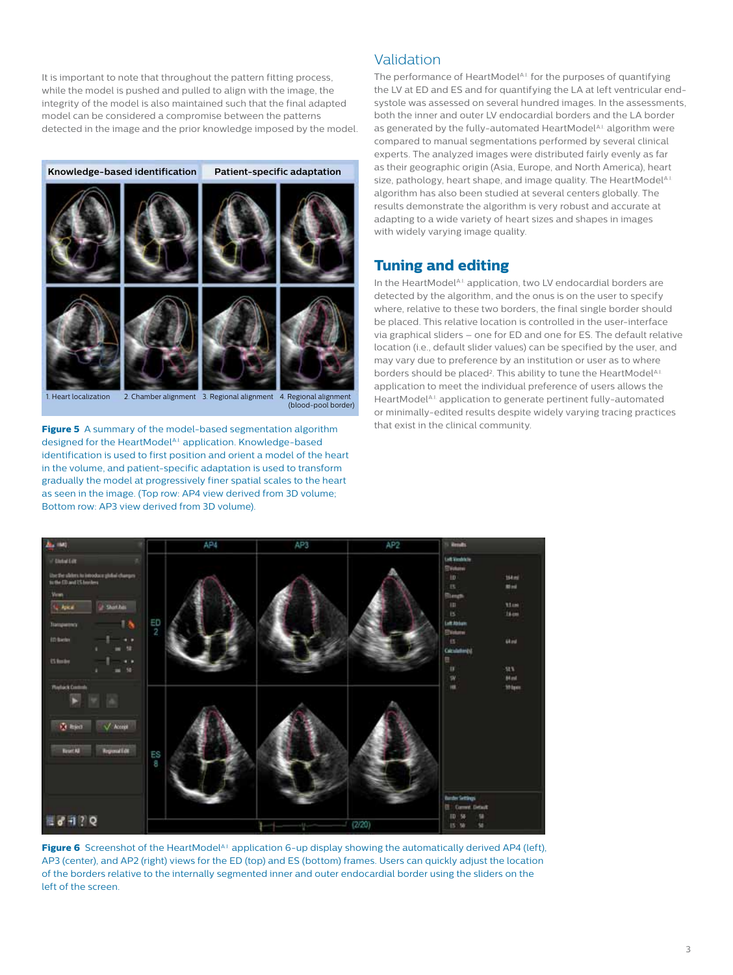It is important to note that throughout the pattern fitting process, while the model is pushed and pulled to align with the image, the integrity of the model is also maintained such that the final adapted model can be considered a compromise between the patterns detected in the image and the prior knowledge imposed by the model.



**Figure 5** A summary of the model-based segmentation algorithm designed for the HeartModelA.I. application. Knowledge-based identification is used to first position and orient a model of the heart in the volume, and patient-specific adaptation is used to transform gradually the model at progressively finer spatial scales to the heart as seen in the image. (Top row: AP4 view derived from 3D volume; Bottom row: AP3 view derived from 3D volume).

#### Validation

The performance of HeartModelA.I. for the purposes of quantifying the LV at ED and ES and for quantifying the LA at left ventricular endsystole was assessed on several hundred images. In the assessments, both the inner and outer LV endocardial borders and the LA border as generated by the fully-automated HeartModel<sup>A.I.</sup> algorithm were compared to manual segmentations performed by several clinical experts. The analyzed images were distributed fairly evenly as far as their geographic origin (Asia, Europe, and North America), heart size, pathology, heart shape, and image quality. The HeartModelA.I. algorithm has also been studied at several centers globally. The results demonstrate the algorithm is very robust and accurate at adapting to a wide variety of heart sizes and shapes in images with widely varying image quality.

### **Tuning and editing**

In the HeartModelA.I. application, two LV endocardial borders are detected by the algorithm, and the onus is on the user to specify where, relative to these two borders, the final single border should be placed. This relative location is controlled in the user-interface via graphical sliders – one for ED and one for ES. The default relative location (i.e., default slider values) can be specified by the user, and may vary due to preference by an institution or user as to where borders should be placed<sup>2</sup>. This ability to tune the HeartModelA.I. application to meet the individual preference of users allows the HeartModelA.I. application to generate pertinent fully-automated or minimally-edited results despite widely varying tracing practices that exist in the clinical community.



Figure 6 Screenshot of the HeartModelA.I. application 6-up display showing the automatically derived AP4 (left), AP3 (center), and AP2 (right) views for the ED (top) and ES (bottom) frames. Users can quickly adjust the location of the borders relative to the internally segmented inner and outer endocardial border using the sliders on the left of the screen.